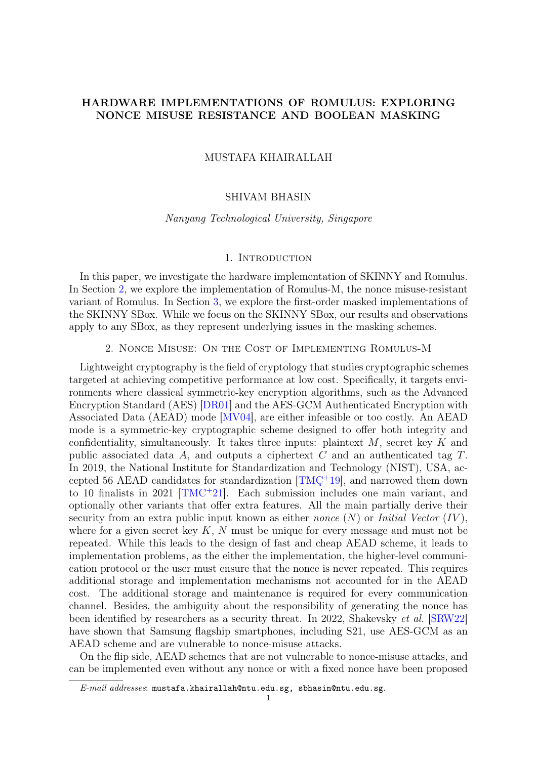# HARDWARE IMPLEMENTATIONS OF ROMULUS: EXPLORING NONCE MISUSE RESISTANCE AND BOOLEAN MASKING

## MUSTAFA KHAIRALLAH

### SHIVAM BHASIN

### Nanyang Technological University, Singapore

## 1. INTRODUCTION

In this paper, we investigate the hardware implementation of SKINNY and Romulus. In Section [2,](#page-0-0) we explore the implementation of Romulus-M, the nonce misuse-resistant variant of Romulus. In Section [3,](#page-7-0) we explore the first-order masked implementations of the SKINNY SBox. While we focus on the SKINNY SBox, our results and observations apply to any SBox, as they represent underlying issues in the masking schemes.

### 2. Nonce Misuse: On the Cost of Implementing Romulus-M

<span id="page-0-0"></span>Lightweight cryptography is the field of cryptology that studies cryptographic schemes targeted at achieving competitive performance at low cost. Specifically, it targets environments where classical symmetric-key encryption algorithms, such as the Advanced Encryption Standard (AES) [\[DR01\]](#page-17-0) and the AES-GCM Authenticated Encryption with Associated Data (AEAD) mode [\[MV04\]](#page-18-0), are either infeasible or too costly. An AEAD mode is a symmetric-key cryptographic scheme designed to offer both integrity and confidentiality, simultaneously. It takes three inputs: plaintext  $M$ , secret key  $K$  and public associated data A, and outputs a ciphertext C and an authenticated tag T. In 2019, the National Institute for Standardization and Technology (NIST), USA, accepted 56 AEAD candidates for standardization  $[TMC^+19]$ , and narrowed them down to 10 finalists in 2021  $\text{TMC}^{+21}$ . Each submission includes one main variant, and optionally other variants that offer extra features. All the main partially derive their security from an extra public input known as either *nonce*  $(N)$  or *Initial Vector*  $(IV)$ , where for a given secret key  $K$ ,  $N$  must be unique for every message and must not be repeated. While this leads to the design of fast and cheap AEAD scheme, it leads to implementation problems, as the either the implementation, the higher-level communication protocol or the user must ensure that the nonce is never repeated. This requires additional storage and implementation mechanisms not accounted for in the AEAD cost. The additional storage and maintenance is required for every communication channel. Besides, the ambiguity about the responsibility of generating the nonce has been identified by researchers as a security threat. In 2022, Shakevsky et al. [\[SRW22\]](#page-18-2) have shown that Samsung flagship smartphones, including S21, use AES-GCM as an AEAD scheme and are vulnerable to nonce-misuse attacks.

On the flip side, AEAD schemes that are not vulnerable to nonce-misuse attacks, and can be implemented even without any nonce or with a fixed nonce have been proposed

 $E$ -mail addresses: mustafa.khairallah@ntu.edu.sg, sbhasin@ntu.edu.sg.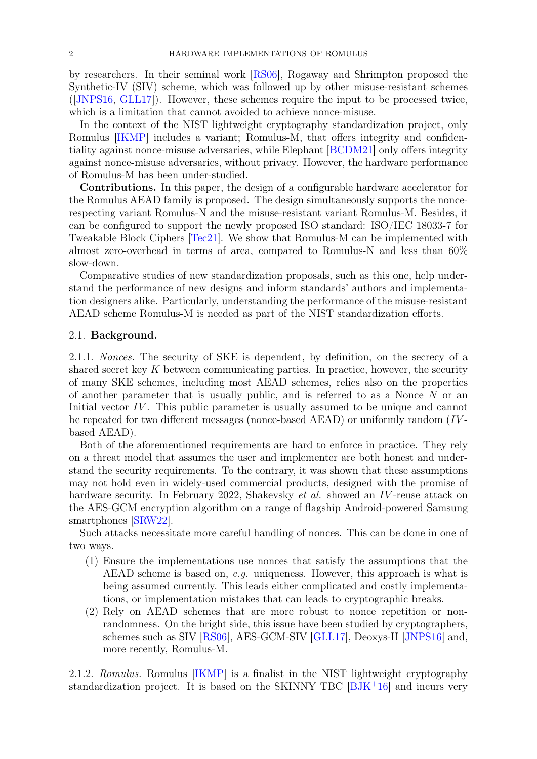by researchers. In their seminal work [\[RS06\]](#page-18-3), Rogaway and Shrimpton proposed the Synthetic-IV (SIV) scheme, which was followed up by other misuse-resistant schemes ([\[JNPS16,](#page-17-1) [GLL17\]](#page-17-2)). However, these schemes require the input to be processed twice, which is a limitation that cannot avoided to achieve nonce-misuse.

In the context of the NIST lightweight cryptography standardization project, only Romulus [\[IKMP\]](#page-17-3) includes a variant; Romulus-M, that offers integrity and confidentiality against nonce-misuse adversaries, while Elephant [\[BCDM21\]](#page-16-0) only offers integrity against nonce-misuse adversaries, without privacy. However, the hardware performance of Romulus-M has been under-studied.

Contributions. In this paper, the design of a configurable hardware accelerator for the Romulus AEAD family is proposed. The design simultaneously supports the noncerespecting variant Romulus-N and the misuse-resistant variant Romulus-M. Besides, it can be configured to support the newly proposed ISO standard: ISO/IEC 18033-7 for Tweakable Block Ciphers [\[Tec21\]](#page-18-4). We show that Romulus-M can be implemented with almost zero-overhead in terms of area, compared to Romulus-N and less than 60% slow-down.

Comparative studies of new standardization proposals, such as this one, help understand the performance of new designs and inform standards' authors and implementation designers alike. Particularly, understanding the performance of the misuse-resistant AEAD scheme Romulus-M is needed as part of the NIST standardization efforts.

### 2.1. Background.

2.1.1. Nonces. The security of SKE is dependent, by definition, on the secrecy of a shared secret key  $K$  between communicating parties. In practice, however, the security of many SKE schemes, including most AEAD schemes, relies also on the properties of another parameter that is usually public, and is referred to as a Nonce  $N$  or an Initial vector IV. This public parameter is usually assumed to be unique and cannot be repeated for two different messages (nonce-based AEAD) or uniformly random (IVbased AEAD).

Both of the aforementioned requirements are hard to enforce in practice. They rely on a threat model that assumes the user and implementer are both honest and understand the security requirements. To the contrary, it was shown that these assumptions may not hold even in widely-used commercial products, designed with the promise of hardware security. In February 2022, Shakevsky *et al.* showed an *IV*-reuse attack on the AES-GCM encryption algorithm on a range of flagship Android-powered Samsung smartphones [\[SRW22\]](#page-18-2).

Such attacks necessitate more careful handling of nonces. This can be done in one of two ways.

- (1) Ensure the implementations use nonces that satisfy the assumptions that the AEAD scheme is based on, e.g. uniqueness. However, this approach is what is being assumed currently. This leads either complicated and costly implementations, or implementation mistakes that can leads to cryptographic breaks.
- (2) Rely on AEAD schemes that are more robust to nonce repetition or nonrandomness. On the bright side, this issue have been studied by cryptographers, schemes such as SIV [\[RS06\]](#page-18-3), AES-GCM-SIV [\[GLL17\]](#page-17-2), Deoxys-II [\[JNPS16\]](#page-17-1) and, more recently, Romulus-M.

2.1.2. Romulus. Romulus [\[IKMP\]](#page-17-3) is a finalist in the NIST lightweight cryptography standardization project. It is based on the SKINNY TBC  $[BJK^+16]$  $[BJK^+16]$  and incurs very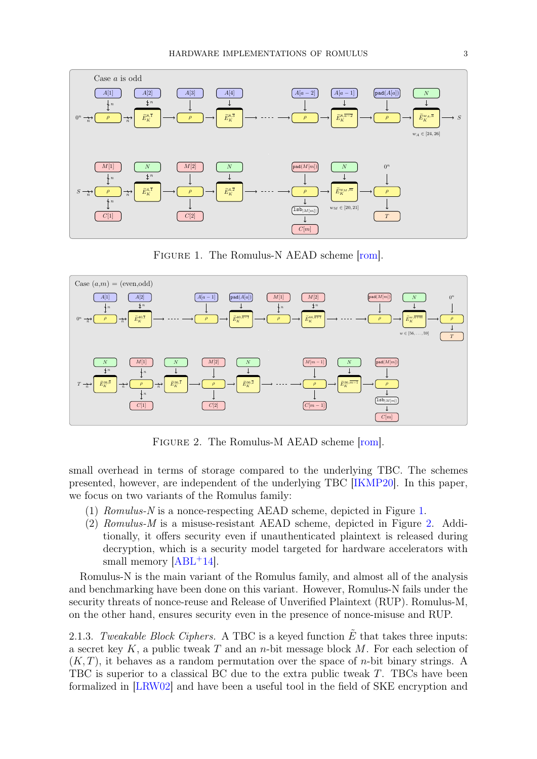<span id="page-2-0"></span>

FIGURE 1. The Romulus-N AEAD scheme  $[rom]$ .

<span id="page-2-1"></span>

Figure 2. The Romulus-M AEAD scheme [\[rom\]](#page-18-5).

small overhead in terms of storage compared to the underlying TBC. The schemes presented, however, are independent of the underlying TBC [\[IKMP20\]](#page-17-4). In this paper, we focus on two variants of the Romulus family:

- (1) Romulus-N is a nonce-respecting AEAD scheme, depicted in Figure [1.](#page-2-0)
- (2) Romulus-M is a misuse-resistant AEAD scheme, depicted in Figure [2.](#page-2-1) Additionally, it offers security even if unauthenticated plaintext is released during decryption, which is a security model targeted for hardware accelerators with small memory  $[ABL+14]$  $[ABL+14]$ .

Romulus-N is the main variant of the Romulus family, and almost all of the analysis and benchmarking have been done on this variant. However, Romulus-N fails under the security threats of nonce-reuse and Release of Unverified Plaintext (RUP). Romulus-M, on the other hand, ensures security even in the presence of nonce-misuse and RUP.

2.1.3. Tweakable Block Ciphers. A TBC is a keyed function  $\tilde{E}$  that takes three inputs: a secret key K, a public tweak T and an n-bit message block  $M$ . For each selection of  $(K, T)$ , it behaves as a random permutation over the space of *n*-bit binary strings. A TBC is superior to a classical BC due to the extra public tweak T. TBCs have been formalized in [\[LRW02\]](#page-18-6) and have been a useful tool in the field of SKE encryption and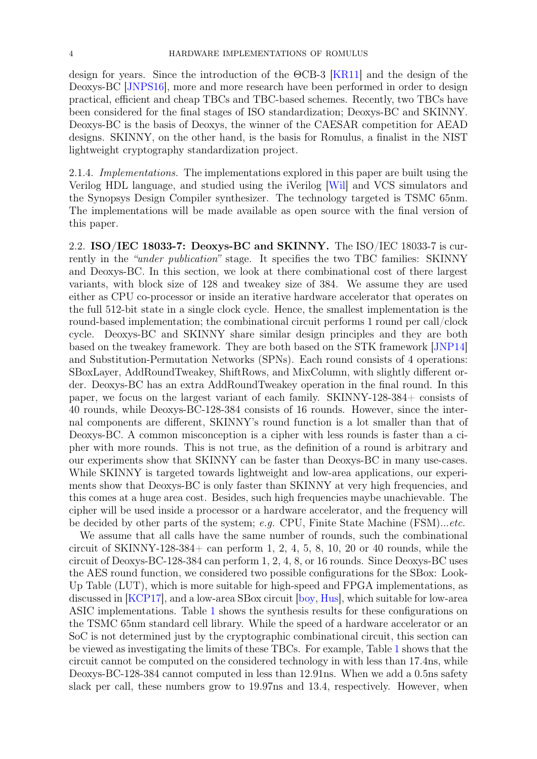design for years. Since the introduction of the ΘCB-3 [\[KR11\]](#page-18-7) and the design of the Deoxys-BC [\[JNPS16\]](#page-17-1), more and more research have been performed in order to design practical, efficient and cheap TBCs and TBC-based schemes. Recently, two TBCs have been considered for the final stages of ISO standardization; Deoxys-BC and SKINNY. Deoxys-BC is the basis of Deoxys, the winner of the CAESAR competition for AEAD designs. SKINNY, on the other hand, is the basis for Romulus, a finalist in the NIST lightweight cryptography standardization project.

2.1.4. Implementations. The implementations explored in this paper are built using the Verilog HDL language, and studied using the iVerilog [\[Wil\]](#page-19-1) and VCS simulators and the Synopsys Design Compiler synthesizer. The technology targeted is TSMC 65nm. The implementations will be made available as open source with the final version of this paper.

<span id="page-3-0"></span>2.2. ISO/IEC 18033-7: Deoxys-BC and SKINNY. The ISO/IEC 18033-7 is currently in the "under publication" stage. It specifies the two TBC families: SKINNY and Deoxys-BC. In this section, we look at there combinational cost of there largest variants, with block size of 128 and tweakey size of 384. We assume they are used either as CPU co-processor or inside an iterative hardware accelerator that operates on the full 512-bit state in a single clock cycle. Hence, the smallest implementation is the round-based implementation; the combinational circuit performs 1 round per call/clock cycle. Deoxys-BC and SKINNY share similar design principles and they are both based on the tweakey framework. They are both based on the STK framework [\[JNP14\]](#page-17-5) and Substitution-Permutation Networks (SPNs). Each round consists of 4 operations: SBoxLayer, AddRoundTweakey, ShiftRows, and MixColumn, with slightly different order. Deoxys-BC has an extra AddRoundTweakey operation in the final round. In this paper, we focus on the largest variant of each family. SKINNY-128-384+ consists of 40 rounds, while Deoxys-BC-128-384 consists of 16 rounds. However, since the internal components are different, SKINNY's round function is a lot smaller than that of Deoxys-BC. A common misconception is a cipher with less rounds is faster than a cipher with more rounds. This is not true, as the definition of a round is arbitrary and our experiments show that SKINNY can be faster than Deoxys-BC in many use-cases. While SKINNY is targeted towards lightweight and low-area applications, our experiments show that Deoxys-BC is only faster than SKINNY at very high frequencies, and this comes at a huge area cost. Besides, such high frequencies maybe unachievable. The cipher will be used inside a processor or a hardware accelerator, and the frequency will be decided by other parts of the system; e.g. CPU, Finite State Machine  $(FSM)...etc.$ 

We assume that all calls have the same number of rounds, such the combinational circuit of SKINNY-128-384+ can perform 1, 2, 4, 5, 8, 10, 20 or 40 rounds, while the circuit of Deoxys-BC-128-384 can perform 1, 2, 4, 8, or 16 rounds. Since Deoxys-BC uses the AES round function, we considered two possible configurations for the SBox: Look-Up Table (LUT), which is more suitable for high-speed and FPGA implementations, as discussed in [\[KCP17\]](#page-17-6), and a low-area SBox circuit [\[boy,](#page-16-3) [Hus\]](#page-17-7), which suitable for low-area ASIC implementations. Table [1](#page-4-0) shows the synthesis results for these configurations on the TSMC 65nm standard cell library. While the speed of a hardware accelerator or an SoC is not determined just by the cryptographic combinational circuit, this section can be viewed as investigating the limits of these TBCs. For example, Table [1](#page-4-0) shows that the circuit cannot be computed on the considered technology in with less than 17.4ns, while Deoxys-BC-128-384 cannot computed in less than 12.91ns. When we add a 0.5ns safety slack per call, these numbers grow to 19.97ns and 13.4, respectively. However, when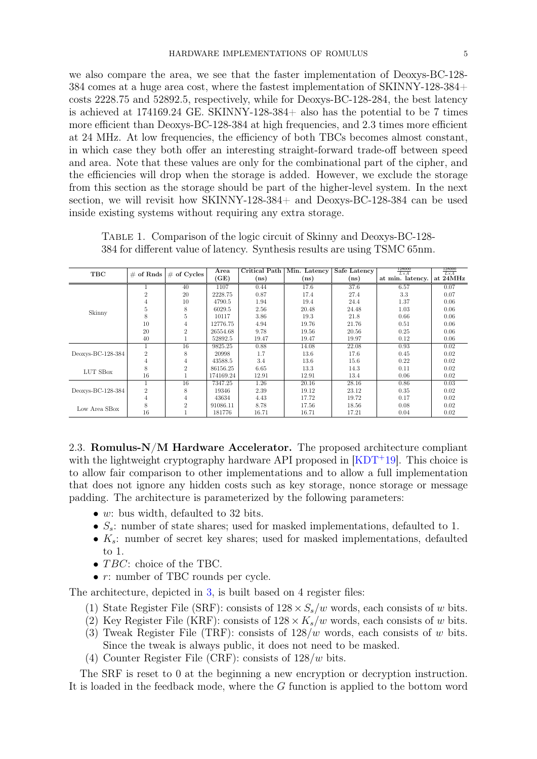we also compare the area, we see that the faster implementation of Deoxys-BC-128- 384 comes at a huge area cost, where the fastest implementation of SKINNY-128-384+ costs 2228.75 and 52892.5, respectively, while for Deoxys-BC-128-284, the best latency is achieved at 174169.24 GE. SKINNY-128-384+ also has the potential to be 7 times more efficient than Deoxys-BC-128-384 at high frequencies, and 2.3 times more efficient at 24 MHz. At low frequencies, the efficiency of both TBCs becomes almost constant, in which case they both offer an interesting straight-forward trade-off between speed and area. Note that these values are only for the combinational part of the cipher, and the efficiencies will drop when the storage is added. However, we exclude the storage from this section as the storage should be part of the higher-level system. In the next section, we will revisit how SKINNY-128-384+ and Deoxys-BC-128-384 can be used inside existing systems without requiring any extra storage.

| TBC               | $\#$ of Rnds   | $\#$ of Cycles | Area      | Critical Path | Min. Latency | Safe Latency | 128000<br>$L \times A$ | 128000<br>$L \times A$ |
|-------------------|----------------|----------------|-----------|---------------|--------------|--------------|------------------------|------------------------|
|                   |                |                | (GE)      | (ns)          | (ns)         | (ns)         | at min. latency.       | at 24MHz               |
|                   |                | 40             | 1107      | 0.44          | 17.6         | 37.6         | 6.57                   | 0.07                   |
|                   | $\overline{2}$ | 20             | 2228.75   | 0.87          | 17.4         | 27.4         | 3.3                    | 0.07                   |
|                   | 4              | 10             | 4790.5    | 1.94          | 19.4         | 24.4         | 1.37                   | 0.06                   |
| Skinny            | 5              | 8              | 6029.5    | 2.56          | 20.48        | 24.48        | 1.03                   | 0.06                   |
|                   | 8              | 5              | 10117     | 3.86          | 19.3         | 21.8         | 0.66                   | 0.06                   |
|                   | 10             | $\overline{4}$ | 12776.75  | 4.94          | 19.76        | 21.76        | 0.51                   | 0.06                   |
|                   | 20             | $\overline{2}$ | 26554.68  | 9.78          | 19.56        | 20.56        | 0.25                   | 0.06                   |
|                   | 40             |                | 52892.5   | 19.47         | 19.47        | 19.97        | 0.12                   | 0.06                   |
|                   |                | 16             | 9825.25   | 0.88          | 14.08        | 22.08        | 0.93                   | 0.02                   |
| Deoxys-BC-128-384 | $\overline{2}$ | 8              | 20998     | 1.7           | 13.6         | 17.6         | 0.45                   | 0.02                   |
|                   | 4              | $\overline{4}$ | 43588.5   | 3.4           | 13.6         | 15.6         | 0.22                   | 0.02                   |
| LUT SBox          | 8              | $\overline{2}$ | 86156.25  | 6.65          | 13.3         | 14.3         | 0.11                   | 0.02                   |
|                   | 16             |                | 174169.24 | 12.91         | 12.91        | 13.4         | 0.06                   | 0.02                   |
| Deoxys-BC-128-384 |                | 16             | 7347.25   | 1.26          | 20.16        | 28.16        | 0.86                   | 0.03                   |
|                   | $\overline{2}$ | 8              | 19346     | 2.39          | 19.12        | 23.12        | 0.35                   | 0.02                   |
|                   | 4              | 4              | 43634     | 4.43          | 17.72        | 19.72        | 0.17                   | 0.02                   |
| Low Area SBox     | 8              | $\overline{2}$ | 91086.11  | 8.78          | 17.56        | 18.56        | 0.08                   | 0.02                   |
|                   | 16             |                | 181776    | 16.71         | 16.71        | 17.21        | 0.04                   | 0.02                   |

<span id="page-4-0"></span>Table 1. Comparison of the logic circuit of Skinny and Deoxys-BC-128- 384 for different value of latency. Synthesis results are using TSMC 65nm.

2.3. Romulus- $N/M$  Hardware Accelerator. The proposed architecture compliant with the lightweight cryptography hardware API proposed in  $[KDT<sup>+</sup>19]$  $[KDT<sup>+</sup>19]$ . This choice is to allow fair comparison to other implementations and to allow a full implementation that does not ignore any hidden costs such as key storage, nonce storage or message padding. The architecture is parameterized by the following parameters:

- $w:$  bus width, defaulted to 32 bits.
- $S_s$ : number of state shares; used for masked implementations, defaulted to 1.
- $K_s$ : number of secret key shares; used for masked implementations, defaulted to 1.
- $TBC$ : choice of the TBC.
- *r*: number of TBC rounds per cycle.

The architecture, depicted in [3,](#page-5-0) is built based on 4 register files:

- (1) State Register File (SRF): consists of  $128 \times S_s/w$  words, each consists of w bits.
- (2) Key Register File (KRF): consists of  $128 \times K_s/w$  words, each consists of w bits.
- (3) Tweak Register File (TRF): consists of  $128/w$  words, each consists of w bits. Since the tweak is always public, it does not need to be masked.
- (4) Counter Register File (CRF): consists of  $128/w$  bits.

The SRF is reset to 0 at the beginning a new encryption or decryption instruction. It is loaded in the feedback mode, where the G function is applied to the bottom word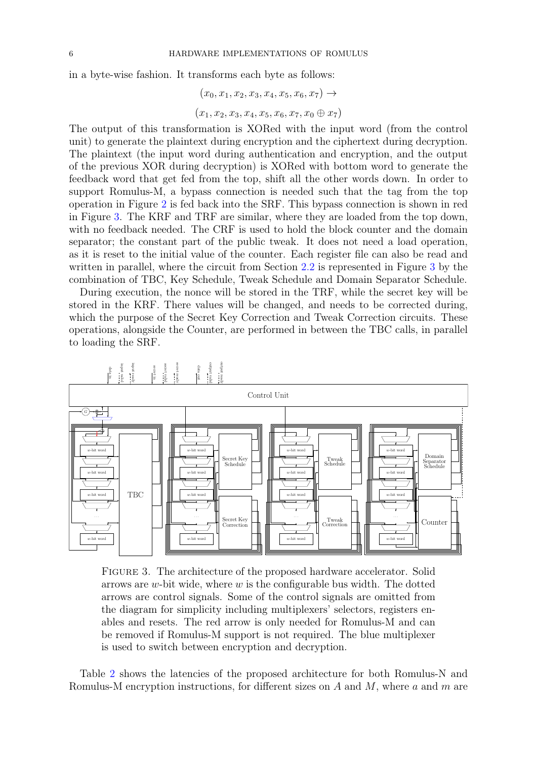in a byte-wise fashion. It transforms each byte as follows:

$$
(x_0, x_1, x_2, x_3, x_4, x_5, x_6, x_7) \rightarrow
$$

$$
(x_1, x_2, x_3, x_4, x_5, x_6, x_7, x_0 \oplus x_7)
$$

The output of this transformation is XORed with the input word (from the control unit) to generate the plaintext during encryption and the ciphertext during decryption. The plaintext (the input word during authentication and encryption, and the output of the previous XOR during decryption) is XORed with bottom word to generate the feedback word that get fed from the top, shift all the other words down. In order to support Romulus-M, a bypass connection is needed such that the tag from the top operation in Figure [2](#page-2-1) is fed back into the SRF. This bypass connection is shown in red in Figure [3.](#page-5-0) The KRF and TRF are similar, where they are loaded from the top down, with no feedback needed. The CRF is used to hold the block counter and the domain separator; the constant part of the public tweak. It does not need a load operation, as it is reset to the initial value of the counter. Each register file can also be read and written in parallel, where the circuit from Section [2.2](#page-3-0) is represented in Figure [3](#page-5-0) by the combination of TBC, Key Schedule, Tweak Schedule and Domain Separator Schedule.

During execution, the nonce will be stored in the TRF, while the secret key will be stored in the KRF. There values will be changed, and needs to be corrected during, which the purpose of the Secret Key Correction and Tweak Correction circuits. These operations, alongside the Counter, are performed in between the TBC calls, in parallel to loading the SRF.

<span id="page-5-0"></span>



Table [2](#page-6-0) shows the latencies of the proposed architecture for both Romulus-N and Romulus-M encryption instructions, for different sizes on  $A$  and  $M$ , where  $a$  and  $m$  are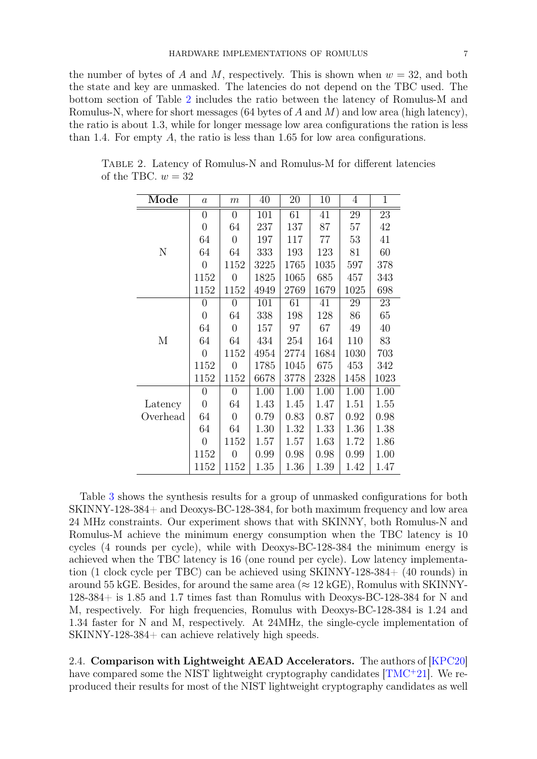the number of bytes of A and M, respectively. This is shown when  $w = 32$ , and both the state and key are unmasked. The latencies do not depend on the TBC used. The bottom section of Table [2](#page-6-0) includes the ratio between the latency of Romulus-M and Romulus-N, where for short messages (64 bytes of  $A$  and  $M$ ) and low area (high latency), the ratio is about 1.3, while for longer message low area configurations the ration is less than 1.4. For empty  $A$ , the ratio is less than 1.65 for low area configurations.

| Mode     | $\boldsymbol{a}$ | $\boldsymbol{m}$ | 40   | 20       | 10   | $\overline{4}$ | $\mathbf{1}$ |
|----------|------------------|------------------|------|----------|------|----------------|--------------|
|          | $\overline{0}$   | $\overline{0}$   | 101  | 61       | 41   | 29             | 23           |
|          | $\boldsymbol{0}$ | 64               | 237  | 137      | 87   | 57             | 42           |
|          | 64               | $\overline{0}$   | 197  | 117      | 77   | 53             | 41           |
| N        | 64               | 64               | 333  | 193      | 123  | 81             | 60           |
|          | $\overline{0}$   | 1152             | 3225 | 1765     | 1035 | 597            | 378          |
|          | 1152             | $\overline{0}$   | 1825 | 1065     | 685  | 457            | 343          |
|          | 1152             | 1152             | 4949 | 2769     | 1679 | 1025           | 698          |
|          | 0                | 0                | 101  | 61       | 41   | 29             | 23           |
|          | $\overline{0}$   | 64               | 338  | 198      | 128  | 86             | 65           |
|          | 64               | $\overline{0}$   | 157  | 97       | 67   | 49             | 40           |
| М        | 64               | 64               | 434  | 254      | 164  | 110            | 83           |
|          | $\overline{0}$   | 1152             | 4954 | 2774     | 1684 | 1030           | 703          |
|          | 1152             | $\overline{0}$   | 1785 | 1045     | 675  | 453            | 342          |
|          | 1152             | 1152             | 6678 | 3778     | 2328 | 1458           | 1023         |
|          | $\overline{0}$   | $\theta$         | 1.00 | 1.00     | 1.00 | 1.00           | 1.00         |
| Latency  | $\boldsymbol{0}$ | 64               | 1.43 | 1.45     | 1.47 | 1.51           | 1.55         |
| Overhead | 64               | $\boldsymbol{0}$ | 0.79 | 0.83     | 0.87 | 0.92           | 0.98         |
|          | 64               | 64               | 1.30 | 1.32     | 1.33 | 1.36           | 1.38         |
|          | $\overline{0}$   | 1152             | 1.57 | 1.57     | 1.63 | 1.72           | 1.86         |
|          | 1152             | 0                | 0.99 | 0.98     | 0.98 | 0.99           | 1.00         |
|          | 1152             | 1152             | 1.35 | $1.36\,$ | 1.39 | 1.42           | 1.47         |

<span id="page-6-0"></span>Table 2. Latency of Romulus-N and Romulus-M for different latencies of the TBC.  $w = 32$ 

Table [3](#page-7-1) shows the synthesis results for a group of unmasked configurations for both SKINNY-128-384+ and Deoxys-BC-128-384, for both maximum frequency and low area 24 MHz constraints. Our experiment shows that with SKINNY, both Romulus-N and Romulus-M achieve the minimum energy consumption when the TBC latency is 10 cycles (4 rounds per cycle), while with Deoxys-BC-128-384 the minimum energy is achieved when the TBC latency is 16 (one round per cycle). Low latency implementation (1 clock cycle per TBC) can be achieved using SKINNY-128-384+ (40 rounds) in around 55 kGE. Besides, for around the same area ( $\approx 12$  kGE), Romulus with SKINNY-128-384+ is 1.85 and 1.7 times fast than Romulus with Deoxys-BC-128-384 for N and M, respectively. For high frequencies, Romulus with Deoxys-BC-128-384 is 1.24 and 1.34 faster for N and M, respectively. At 24MHz, the single-cycle implementation of SKINNY-128-384+ can achieve relatively high speeds.

2.4. Comparison with Lightweight AEAD Accelerators. The authors of [\[KPC20\]](#page-18-8) have compared some the NIST lightweight cryptography candidates [\[TMC](#page-19-0)<sup>+</sup>21]. We reproduced their results for most of the NIST lightweight cryptography candidates as well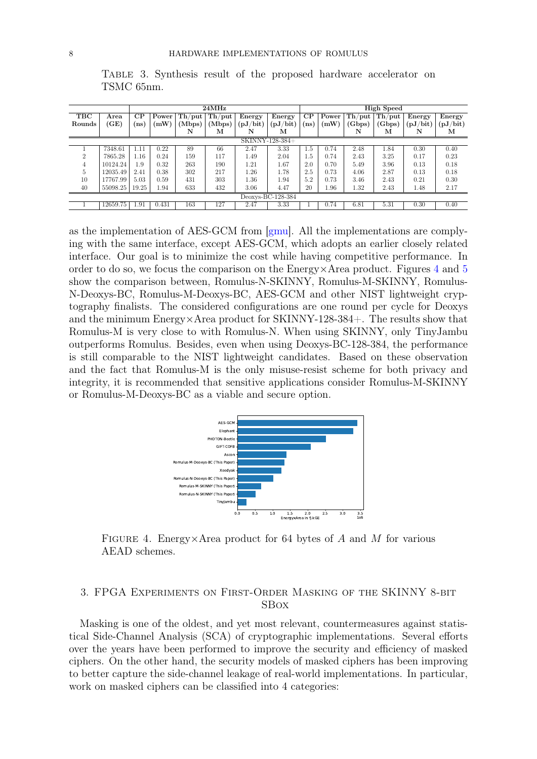|                   |          | $24\mathrm{MHz}$ |       |        |                    | High Speed |          |          |       |           |              |          |          |
|-------------------|----------|------------------|-------|--------|--------------------|------------|----------|----------|-------|-----------|--------------|----------|----------|
| TBC               | Area     | CP               | Power |        | $Th$ /put   Th/put | Energy     | Energy   | $\rm CP$ | Power | $Th$ /put | $\rm Th/put$ | Energy   | Energy   |
| Rounds            | (GE)     | ns)              | (mW)  | (Mbps) | (Mbps)             | (pJ/bit)   | (pJ/bit) | (ns)     | (mW)  | (Gbps)    | (Gbps)       | (pJ/bit) | (pJ/bit) |
|                   |          |                  |       | N      | м                  | N          | м        |          |       | N         | м            | N        | м        |
| SKINNY-128-384+   |          |                  |       |        |                    |            |          |          |       |           |              |          |          |
|                   | 7348.61  | .11              | 0.22  | 89     | 66                 | 2.47       | 3.33     | 1.5      | 0.74  | 2.48      | 1.84         | 0.30     | 0.40     |
| $\overline{2}$    | 7865.28  | 1.16             | 0.24  | 159    | 117                | 1.49       | 2.04     | $1.5\,$  | 0.74  | 2.43      | 3.25         | 0.17     | 0.23     |
| 4                 | 10124.24 | 1.9              | 0.32  | 263    | 190                | 1.21       | 1.67     | 2.0      | 0.70  | 5.49      | 3.96         | 0.13     | 0.18     |
| 5                 | 12035.49 | 2.41             | 0.38  | 302    | 217                | 1.26       | 1.78     | 2.5      | 0.73  | 4.06      | 2.87         | 0.13     | 0.18     |
| 10                | 17767.99 | 5.03             | 0.59  | 431    | 303                | 1.36       | 1.94     | 5.2      | 0.73  | 3.46      | 2.43         | 0.21     | 0.30     |
| 40                | 55098.25 | 19.25            | 1.94  | 633    | 432                | 3.06       | 4.47     | 20       | 1.96  | 1.32      | 2.43         | 1.48     | 2.17     |
| Deoxys-BC-128-384 |          |                  |       |        |                    |            |          |          |       |           |              |          |          |
|                   | 12659.75 | 1.91             | 0.431 | 163    | 127                | 2.47       | 3.33     |          | 0.74  | 6.81      | 5.31         | 0.30     | 0.40     |

<span id="page-7-1"></span>Table 3. Synthesis result of the proposed hardware accelerator on TSMC 65nm.

as the implementation of AES-GCM from [\[gmu\]](#page-17-9). All the implementations are complying with the same interface, except AES-GCM, which adopts an earlier closely related interface. Our goal is to minimize the cost while having competitive performance. In order to do so, we focus the comparison on the  $Energy \times Area$  product. Figures [4](#page-7-2) and [5](#page-8-0) show the comparison between, Romulus-N-SKINNY, Romulus-M-SKINNY, Romulus-N-Deoxys-BC, Romulus-M-Deoxys-BC, AES-GCM and other NIST lightweight cryptography finalists. The considered configurations are one round per cycle for Deoxys and the minimum Energy×Area product for SKINNY-128-384+. The results show that Romulus-M is very close to with Romulus-N. When using SKINNY, only TinyJambu outperforms Romulus. Besides, even when using Deoxys-BC-128-384, the performance is still comparable to the NIST lightweight candidates. Based on these observation and the fact that Romulus-M is the only misuse-resist scheme for both privacy and integrity, it is recommended that sensitive applications consider Romulus-M-SKINNY or Romulus-M-Deoxys-BC as a viable and secure option.

<span id="page-7-2"></span>

FIGURE 4. Energy×Area product for 64 bytes of A and M for various AEAD schemes.

## <span id="page-7-0"></span>3. FPGA Experiments on First-Order Masking of the SKINNY 8-bit SBox

Masking is one of the oldest, and yet most relevant, countermeasures against statistical Side-Channel Analysis (SCA) of cryptographic implementations. Several efforts over the years have been performed to improve the security and efficiency of masked ciphers. On the other hand, the security models of masked ciphers has been improving to better capture the side-channel leakage of real-world implementations. In particular, work on masked ciphers can be classified into 4 categories: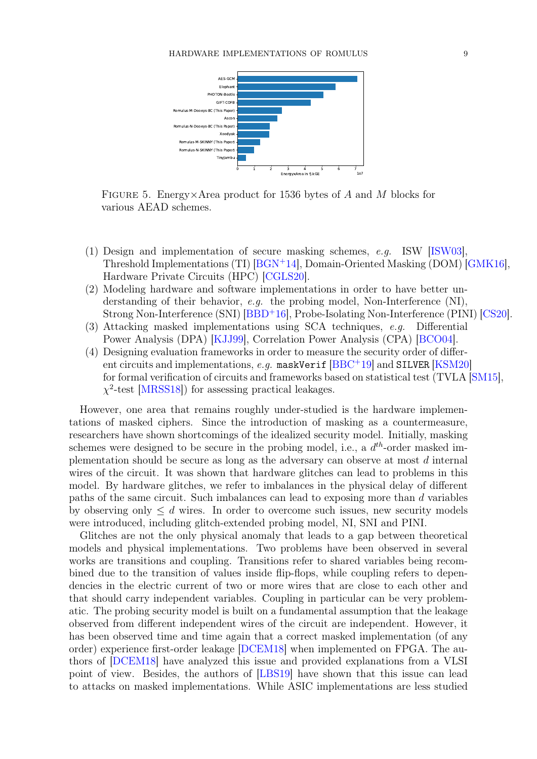<span id="page-8-0"></span>

FIGURE 5. Energy×Area product for 1536 bytes of A and M blocks for various AEAD schemes.

- (1) Design and implementation of secure masking schemes, e.g. ISW [\[ISW03\]](#page-17-10), Threshold Implementations (TI) [\[BGN](#page-16-4)<sup>+</sup>14], Domain-Oriented Masking (DOM) [\[GMK16\]](#page-17-11), Hardware Private Circuits (HPC) [\[CGLS20\]](#page-17-12).
- (2) Modeling hardware and software implementations in order to have better understanding of their behavior, e.g. the probing model, Non-Interference  $(NI)$ , Strong Non-Interference (SNI) [\[BBD](#page-16-5)<sup>+</sup>16], Probe-Isolating Non-Interference (PINI) [\[CS20\]](#page-17-13).
- (3) Attacking masked implementations using SCA techniques, e.g. Differential Power Analysis (DPA) [\[KJJ99\]](#page-18-9), Correlation Power Analysis (CPA) [\[BCO04\]](#page-16-6).
- (4) Designing evaluation frameworks in order to measure the security order of different circuits and implementations, e.g. maskVerif  $[BBC + 19]$  $[BBC + 19]$  and SILVER  $[KSM20]$ for formal verification of circuits and frameworks based on statistical test (TVLA [\[SM15\]](#page-18-11),  $\chi^2$ -test [\[MRSS18\]](#page-18-12)) for assessing practical leakages.

However, one area that remains roughly under-studied is the hardware implementations of masked ciphers. Since the introduction of masking as a countermeasure, researchers have shown shortcomings of the idealized security model. Initially, masking schemes were designed to be secure in the probing model, i.e., a  $d^{th}$ -order masked implementation should be secure as long as the adversary can observe at most d internal wires of the circuit. It was shown that hardware glitches can lead to problems in this model. By hardware glitches, we refer to imbalances in the physical delay of different paths of the same circuit. Such imbalances can lead to exposing more than d variables by observing only  $\leq d$  wires. In order to overcome such issues, new security models were introduced, including glitch-extended probing model, NI, SNI and PINI.

Glitches are not the only physical anomaly that leads to a gap between theoretical models and physical implementations. Two problems have been observed in several works are transitions and coupling. Transitions refer to shared variables being recombined due to the transition of values inside flip-flops, while coupling refers to dependencies in the electric current of two or more wires that are close to each other and that should carry independent variables. Coupling in particular can be very problematic. The probing security model is built on a fundamental assumption that the leakage observed from different independent wires of the circuit are independent. However, it has been observed time and time again that a correct masked implementation (of any order) experience first-order leakage [\[DCEM18\]](#page-17-14) when implemented on FPGA. The authors of [\[DCEM18\]](#page-17-14) have analyzed this issue and provided explanations from a VLSI point of view. Besides, the authors of [\[LBS19\]](#page-18-13) have shown that this issue can lead to attacks on masked implementations. While ASIC implementations are less studied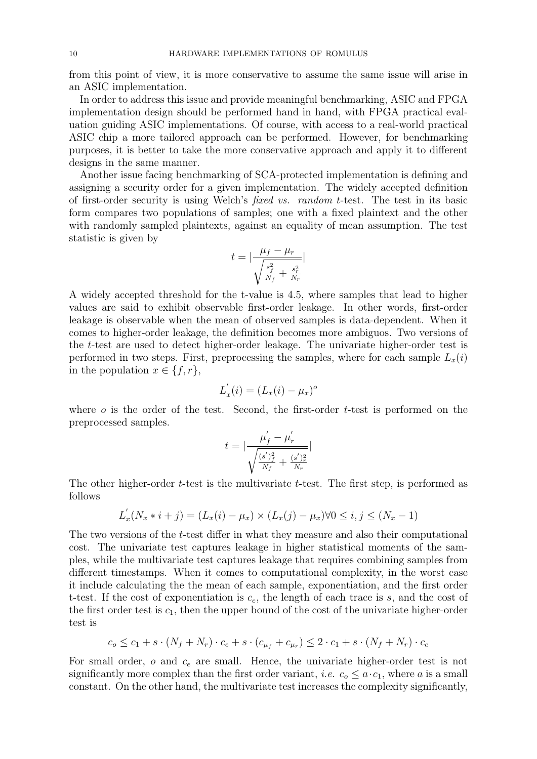from this point of view, it is more conservative to assume the same issue will arise in an ASIC implementation.

In order to address this issue and provide meaningful benchmarking, ASIC and FPGA implementation design should be performed hand in hand, with FPGA practical evaluation guiding ASIC implementations. Of course, with access to a real-world practical ASIC chip a more tailored approach can be performed. However, for benchmarking purposes, it is better to take the more conservative approach and apply it to different designs in the same manner.

Another issue facing benchmarking of SCA-protected implementation is defining and assigning a security order for a given implementation. The widely accepted definition of first-order security is using Welch's fixed vs. random t-test. The test in its basic form compares two populations of samples; one with a fixed plaintext and the other with randomly sampled plaintexts, against an equality of mean assumption. The test statistic is given by

$$
t = \left| \frac{\mu_f - \mu_r}{\sqrt{\frac{s_f^2}{N_f} + \frac{s_r^2}{N_r}}} \right|
$$

A widely accepted threshold for the t-value is 4.5, where samples that lead to higher values are said to exhibit observable first-order leakage. In other words, first-order leakage is observable when the mean of observed samples is data-dependent. When it comes to higher-order leakage, the definition becomes more ambiguos. Two versions of the t-test are used to detect higher-order leakage. The univariate higher-order test is performed in two steps. First, preprocessing the samples, where for each sample  $L_x(i)$ in the population  $x \in \{f, r\},\$ 

$$
L_x'(i) = (L_x(i) - \mu_x)^o
$$

where  $\sigma$  is the order of the test. Second, the first-order t-test is performed on the preprocessed samples.

$$
t = |\frac{\mu_f^{'} - \mu_r^{'} }{\sqrt{\frac{(s^{'})_f^2}{N_f} + \frac{(s^{'})_r^2}{N_r}}}|
$$

The other higher-order t-test is the multivariate t-test. The first step, is performed as follows

$$
L_x'(N_x * i + j) = (L_x(i) - \mu_x) \times (L_x(j) - \mu_x) \forall 0 \le i, j \le (N_x - 1)
$$

The two versions of the t-test differ in what they measure and also their computational cost. The univariate test captures leakage in higher statistical moments of the samples, while the multivariate test captures leakage that requires combining samples from different timestamps. When it comes to computational complexity, in the worst case it include calculating the the mean of each sample, exponentiation, and the first order t-test. If the cost of exponentiation is  $c_e$ , the length of each trace is s, and the cost of the first order test is  $c_1$ , then the upper bound of the cost of the univariate higher-order test is

$$
c_o \le c_1 + s \cdot (N_f + N_r) \cdot c_e + s \cdot (c_{\mu_f} + c_{\mu_r}) \le 2 \cdot c_1 + s \cdot (N_f + N_r) \cdot c_e
$$

For small order,  $o$  and  $c_e$  are small. Hence, the univariate higher-order test is not significantly more complex than the first order variant, *i.e.*  $c_0 \leq a \cdot c_1$ , where a is a small constant. On the other hand, the multivariate test increases the complexity significantly,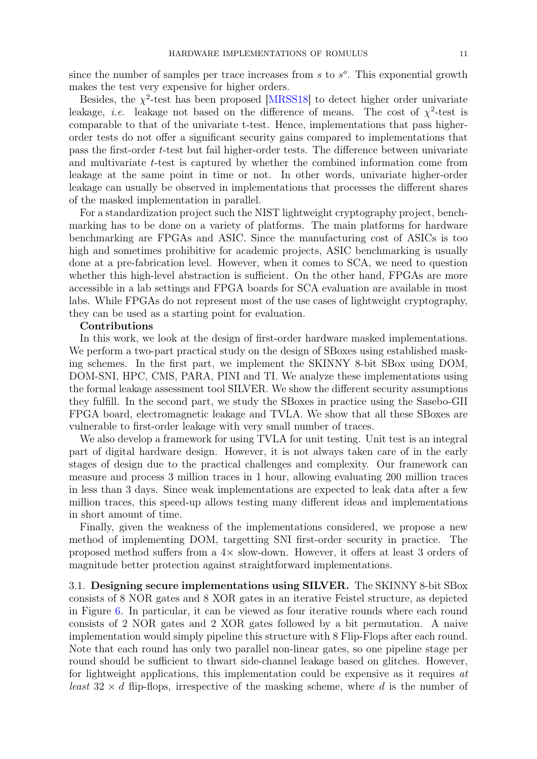since the number of samples per trace increases from  $s$  to  $s<sup>o</sup>$ . This exponential growth makes the test very expensive for higher orders.

Besides, the  $\chi^2$ -test has been proposed [\[MRSS18\]](#page-18-12) to detect higher order univariate leakage, *i.e.* leakage not based on the difference of means. The cost of  $\chi^2$ -test is comparable to that of the univariate t-test. Hence, implementations that pass higherorder tests do not offer a significant security gains compared to implementations that pass the first-order t-test but fail higher-order tests. The difference between univariate and multivariate t-test is captured by whether the combined information come from leakage at the same point in time or not. In other words, univariate higher-order leakage can usually be observed in implementations that processes the different shares of the masked implementation in parallel.

For a standardization project such the NIST lightweight cryptography project, benchmarking has to be done on a variety of platforms. The main platforms for hardware benchmarking are FPGAs and ASIC. Since the manufacturing cost of ASICs is too high and sometimes prohibitive for academic projects, ASIC benchmarking is usually done at a pre-fabrication level. However, when it comes to SCA, we need to question whether this high-level abstraction is sufficient. On the other hand, FPGAs are more accessible in a lab settings and FPGA boards for SCA evaluation are available in most labs. While FPGAs do not represent most of the use cases of lightweight cryptography, they can be used as a starting point for evaluation.

#### Contributions

In this work, we look at the design of first-order hardware masked implementations. We perform a two-part practical study on the design of SBoxes using established masking schemes. In the first part, we implement the SKINNY 8-bit SBox using DOM, DOM-SNI, HPC, CMS, PARA, PINI and TI. We analyze these implementations using the formal leakage assessment tool SILVER. We show the different security assumptions they fulfill. In the second part, we study the SBoxes in practice using the Sasebo-GII FPGA board, electromagnetic leakage and TVLA. We show that all these SBoxes are vulnerable to first-order leakage with very small number of traces.

We also develop a framework for using TVLA for unit testing. Unit test is an integral part of digital hardware design. However, it is not always taken care of in the early stages of design due to the practical challenges and complexity. Our framework can measure and process 3 million traces in 1 hour, allowing evaluating 200 million traces in less than 3 days. Since weak implementations are expected to leak data after a few million traces, this speed-up allows testing many different ideas and implementations in short amount of time.

Finally, given the weakness of the implementations considered, we propose a new method of implementing DOM, targetting SNI first-order security in practice. The proposed method suffers from a 4× slow-down. However, it offers at least 3 orders of magnitude better protection against straightforward implementations.

3.1. Designing secure implementations using SILVER. The SKINNY 8-bit SBox consists of 8 NOR gates and 8 XOR gates in an iterative Feistel structure, as depicted in Figure [6.](#page-11-0) In particular, it can be viewed as four iterative rounds where each round consists of 2 NOR gates and 2 XOR gates followed by a bit permutation. A naive implementation would simply pipeline this structure with 8 Flip-Flops after each round. Note that each round has only two parallel non-linear gates, so one pipeline stage per round should be sufficient to thwart side-channel leakage based on glitches. However, for lightweight applications, this implementation could be expensive as it requires at least  $32 \times d$  flip-flops, irrespective of the masking scheme, where d is the number of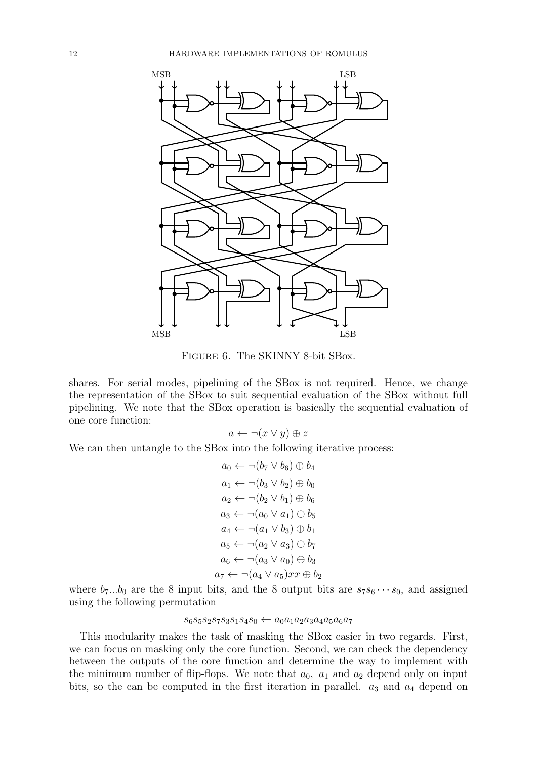<span id="page-11-0"></span>

Figure 6. The SKINNY 8-bit SBox.

shares. For serial modes, pipelining of the SBox is not required. Hence, we change the representation of the SBox to suit sequential evaluation of the SBox without full pipelining. We note that the SBox operation is basically the sequential evaluation of one core function:

 $a \leftarrow \neg(x \vee y) \oplus z$ 

We can then untangle to the SBox into the following iterative process:

$$
a_0 \leftarrow \neg(b_7 \vee b_6) \oplus b_4
$$
  
\n
$$
a_1 \leftarrow \neg(b_3 \vee b_2) \oplus b_0
$$
  
\n
$$
a_2 \leftarrow \neg(b_2 \vee b_1) \oplus b_6
$$
  
\n
$$
a_3 \leftarrow \neg(a_0 \vee a_1) \oplus b_5
$$
  
\n
$$
a_4 \leftarrow \neg(a_1 \vee b_3) \oplus b_1
$$
  
\n
$$
a_5 \leftarrow \neg(a_2 \vee a_3) \oplus b_7
$$
  
\n
$$
a_6 \leftarrow \neg(a_3 \vee a_0) \oplus b_3
$$
  
\n
$$
a_7 \leftarrow \neg(a_4 \vee a_5)xx \oplus b_2
$$

where  $b_7...b_0$  are the 8 input bits, and the 8 output bits are  $s_7s_6\cdots s_0$ , and assigned using the following permutation

## $s_6s_5s_2s_7s_3s_1s_4s_0 \leftarrow a_0a_1a_2a_3a_4a_5a_6a_7$

This modularity makes the task of masking the SBox easier in two regards. First, we can focus on masking only the core function. Second, we can check the dependency between the outputs of the core function and determine the way to implement with the minimum number of flip-flops. We note that  $a_0$ ,  $a_1$  and  $a_2$  depend only on input bits, so the can be computed in the first iteration in parallel.  $a_3$  and  $a_4$  depend on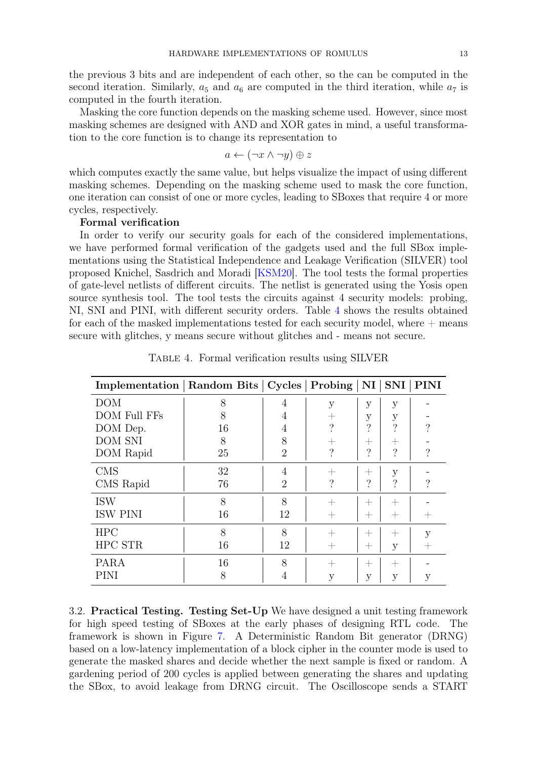the previous 3 bits and are independent of each other, so the can be computed in the second iteration. Similarly,  $a_5$  and  $a_6$  are computed in the third iteration, while  $a_7$  is computed in the fourth iteration.

Masking the core function depends on the masking scheme used. However, since most masking schemes are designed with AND and XOR gates in mind, a useful transformation to the core function is to change its representation to

$$
a \leftarrow (\neg x \land \neg y) \oplus z
$$

which computes exactly the same value, but helps visualize the impact of using different masking schemes. Depending on the masking scheme used to mask the core function, one iteration can consist of one or more cycles, leading to SBoxes that require 4 or more cycles, respectively.

## Formal verification

In order to verify our security goals for each of the considered implementations, we have performed formal verification of the gadgets used and the full SBox implementations using the Statistical Independence and Leakage Verification (SILVER) tool proposed Knichel, Sasdrich and Moradi [\[KSM20\]](#page-18-10). The tool tests the formal properties of gate-level netlists of different circuits. The netlist is generated using the Yosis open source synthesis tool. The tool tests the circuits against 4 security models: probing, NI, SNI and PINI, with different security orders. Table [4](#page-12-0) shows the results obtained for each of the masked implementations tested for each security model, where  $+$  means secure with glitches, y means secure without glitches and - means not secure.

<span id="page-12-0"></span>

| Implementation   Random Bits   Cycles   Probing   NI   SNI   PINI |    |                |                    |      |                    |          |
|-------------------------------------------------------------------|----|----------------|--------------------|------|--------------------|----------|
| <b>DOM</b>                                                        | 8  | 4              | у                  | у    | у                  |          |
| <b>DOM Full FFs</b>                                               | 8  | 4              | $^+$               | у    | у                  |          |
| DOM Dep.                                                          | 16 | 4              | $\gamma$           | ?    | ?                  | $\gamma$ |
| <b>DOM SNI</b>                                                    | 8  | 8              | $^{+}$             | $^+$ | $^+$               |          |
| DOM Rapid                                                         | 25 | $\overline{2}$ | $\overline{\cdot}$ | ?    | $\gamma$           | ?        |
| <b>CMS</b>                                                        | 32 | 4              | $^+$               | $^+$ | у                  |          |
| CMS Rapid                                                         | 76 | $\overline{2}$ | $\overline{\cdot}$ | ?    | $\gamma$           | ?        |
| <b>ISW</b>                                                        | 8  | 8              | ╅                  | $^+$ | $\hspace{0.1mm} +$ |          |
| <b>ISW PINI</b>                                                   | 16 | 12             | $^{+}$             | $^+$ | $\hspace{0.1mm} +$ |          |
| <b>HPC</b>                                                        | 8  | 8              |                    | $^+$ | $^+$               | V        |
| HPC STR                                                           | 16 | 12             | $^+$               | $^+$ | у                  |          |
| PARA                                                              | 16 | 8              | $^+$               | $^+$ | $\hspace{0.1mm} +$ |          |
| PINI                                                              | 8  | $\overline{4}$ | у                  | У    | У                  | У        |

Table 4. Formal verification results using SILVER

3.2. Practical Testing. Testing Set-Up We have designed a unit testing framework for high speed testing of SBoxes at the early phases of designing RTL code. The framework is shown in Figure [7.](#page-13-0) A Deterministic Random Bit generator (DRNG) based on a low-latency implementation of a block cipher in the counter mode is used to generate the masked shares and decide whether the next sample is fixed or random. A gardening period of 200 cycles is applied between generating the shares and updating the SBox, to avoid leakage from DRNG circuit. The Oscilloscope sends a START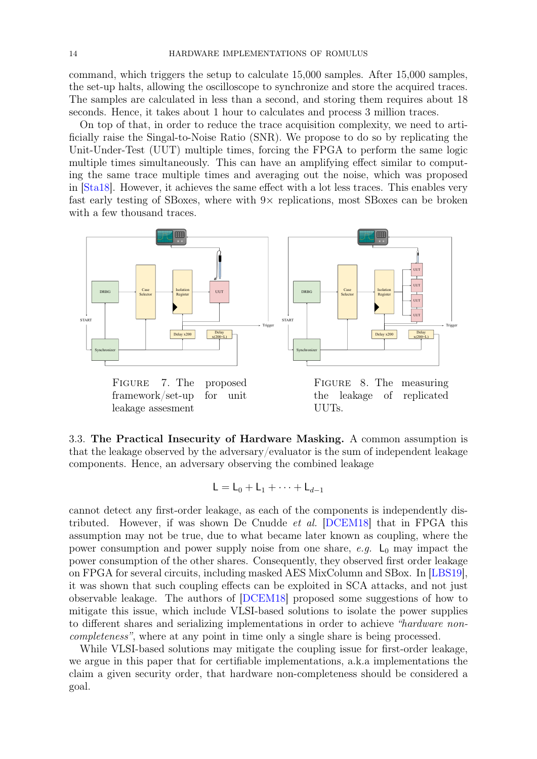command, which triggers the setup to calculate 15,000 samples. After 15,000 samples, the set-up halts, allowing the oscilloscope to synchronize and store the acquired traces. The samples are calculated in less than a second, and storing them requires about 18 seconds. Hence, it takes about 1 hour to calculates and process 3 million traces.

On top of that, in order to reduce the trace acquisition complexity, we need to artificially raise the Singal-to-Noise Ratio (SNR). We propose to do so by replicating the Unit-Under-Test (UUT) multiple times, forcing the FPGA to perform the same logic multiple times simultaneously. This can have an amplifying effect similar to computing the same trace multiple times and averaging out the noise, which was proposed in [\[Sta18\]](#page-18-14). However, it achieves the same effect with a lot less traces. This enables very fast early testing of SBoxes, where with  $9 \times$  replications, most SBoxes can be broken with a few thousand traces.



3.3. The Practical Insecurity of Hardware Masking. A common assumption is that the leakage observed by the adversary/evaluator is the sum of independent leakage components. Hence, an adversary observing the combined leakage

<span id="page-13-0"></span>
$$
\mathsf{L}=\mathsf{L}_0+\mathsf{L}_1+\cdots+\mathsf{L}_{d-1}
$$

cannot detect any first-order leakage, as each of the components is independently distributed. However, if was shown De Cnudde et al. [\[DCEM18\]](#page-17-14) that in FPGA this assumption may not be true, due to what became later known as coupling, where the power consumption and power supply noise from one share, e.g.  $\mathsf{L}_0$  may impact the power consumption of the other shares. Consequently, they observed first order leakage on FPGA for several circuits, including masked AES MixColumn and SBox. In [\[LBS19\]](#page-18-13), it was shown that such coupling effects can be exploited in SCA attacks, and not just observable leakage. The authors of [\[DCEM18\]](#page-17-14) proposed some suggestions of how to mitigate this issue, which include VLSI-based solutions to isolate the power supplies to different shares and serializing implementations in order to achieve "hardware noncompleteness", where at any point in time only a single share is being processed.

While VLSI-based solutions may mitigate the coupling issue for first-order leakage, we argue in this paper that for certifiable implementations, a.k.a implementations the claim a given security order, that hardware non-completeness should be considered a goal.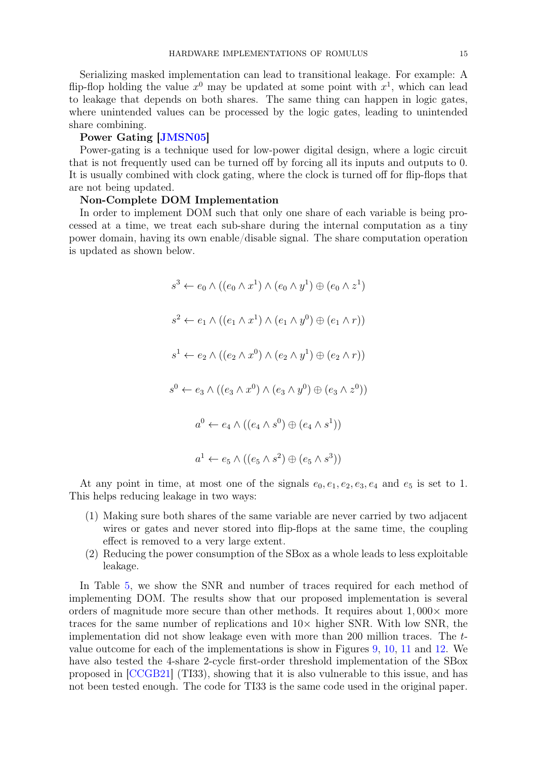Serializing masked implementation can lead to transitional leakage. For example: A flip-flop holding the value  $x^0$  may be updated at some point with  $x^1$ , which can lead to leakage that depends on both shares. The same thing can happen in logic gates, where unintended values can be processed by the logic gates, leading to unintended share combining.

### Power Gating [\[JMSN05\]](#page-17-15)

Power-gating is a technique used for low-power digital design, where a logic circuit that is not frequently used can be turned off by forcing all its inputs and outputs to 0. It is usually combined with clock gating, where the clock is turned off for flip-flops that are not being updated.

### Non-Complete DOM Implementation

In order to implement DOM such that only one share of each variable is being processed at a time, we treat each sub-share during the internal computation as a tiny power domain, having its own enable/disable signal. The share computation operation is updated as shown below.

$$
s^3 \leftarrow e_0 \wedge ((e_0 \wedge x^1) \wedge (e_0 \wedge y^1) \oplus (e_0 \wedge z^1)
$$
  
\n
$$
s^2 \leftarrow e_1 \wedge ((e_1 \wedge x^1) \wedge (e_1 \wedge y^0) \oplus (e_1 \wedge r))
$$
  
\n
$$
s^1 \leftarrow e_2 \wedge ((e_2 \wedge x^0) \wedge (e_2 \wedge y^1) \oplus (e_2 \wedge r))
$$
  
\n
$$
s^0 \leftarrow e_3 \wedge ((e_3 \wedge x^0) \wedge (e_3 \wedge y^0) \oplus (e_3 \wedge z^0))
$$
  
\n
$$
a^0 \leftarrow e_4 \wedge ((e_4 \wedge s^0) \oplus (e_4 \wedge s^1))
$$
  
\n
$$
a^1 \leftarrow e_5 \wedge ((e_5 \wedge s^2) \oplus (e_5 \wedge s^3))
$$

At any point in time, at most one of the signals  $e_0, e_1, e_2, e_3, e_4$  and  $e_5$  is set to 1. This helps reducing leakage in two ways:

- (1) Making sure both shares of the same variable are never carried by two adjacent wires or gates and never stored into flip-flops at the same time, the coupling effect is removed to a very large extent.
- (2) Reducing the power consumption of the SBox as a whole leads to less exploitable leakage.

In Table [5,](#page-15-0) we show the SNR and number of traces required for each method of implementing DOM. The results show that our proposed implementation is several orders of magnitude more secure than other methods. It requires about  $1,000\times$  more traces for the same number of replications and  $10\times$  higher SNR. With low SNR, the implementation did not show leakage even with more than 200 million traces. The tvalue outcome for each of the implementations is show in Figures [9,](#page-15-1) [10,](#page-15-2) [11](#page-16-8) and [12.](#page-16-9) We have also tested the 4-share 2-cycle first-order threshold implementation of the SBox proposed in [\[CCGB21\]](#page-17-16) (TI33), showing that it is also vulnerable to this issue, and has not been tested enough. The code for TI33 is the same code used in the original paper.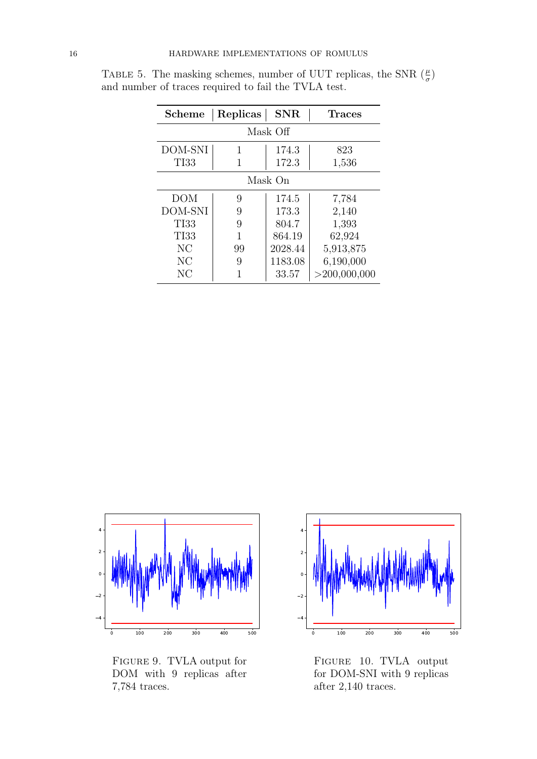| Scheme      | Replicas | <b>SNR</b> | <b>Traces</b>   |  |  |  |  |  |  |
|-------------|----------|------------|-----------------|--|--|--|--|--|--|
| Mask Off    |          |            |                 |  |  |  |  |  |  |
| DOM-SNI     | 1        | 174.3      | 823             |  |  |  |  |  |  |
| <b>TI33</b> |          | 172.3      | 1,536           |  |  |  |  |  |  |
| Mask On     |          |            |                 |  |  |  |  |  |  |
| DOM         | 9        | 174.5      | 7,784           |  |  |  |  |  |  |
| DOM-SNI     | 9        | 173.3      | 2,140           |  |  |  |  |  |  |
| <b>TI33</b> | 9        | 804.7      | 1,393           |  |  |  |  |  |  |
| <b>TI33</b> | 1        | 864.19     | 62,924          |  |  |  |  |  |  |
| NC          | 99       | 2028.44    | 5,913,875       |  |  |  |  |  |  |
| NC          | 9        | 1183.08    | 6,190,000       |  |  |  |  |  |  |
| NC          |          | 33.57      | $>$ 200,000,000 |  |  |  |  |  |  |

<span id="page-15-0"></span>TABLE 5. The masking schemes, number of UUT replicas, the SNR  $(\frac{\mu}{\sigma})$ and number of traces required to fail the TVLA test.



<span id="page-15-1"></span>Figure 9. TVLA output for DOM with 9 replicas after 7,784 traces.



<span id="page-15-2"></span>Figure 10. TVLA output for DOM-SNI with 9 replicas after 2,140 traces.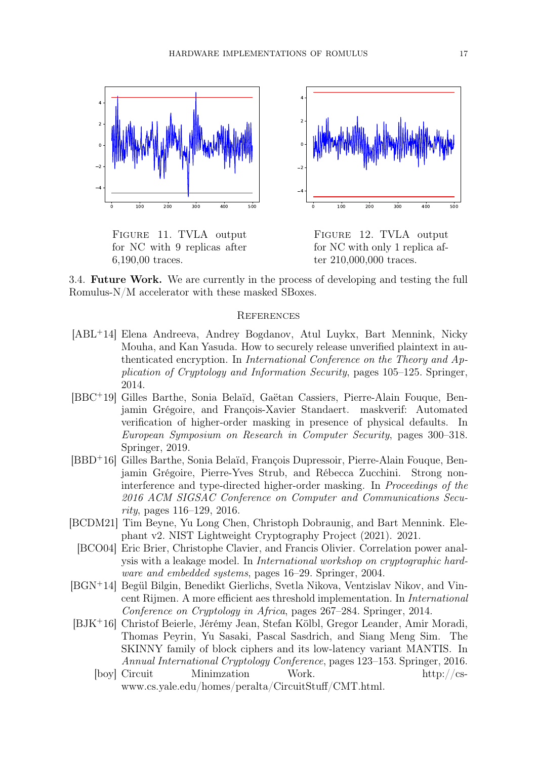

<span id="page-16-8"></span>Figure 11. TVLA output for NC with 9 replicas after 6,190,00 traces.

<span id="page-16-9"></span>Figure 12. TVLA output for NC with only 1 replica after 210,000,000 traces.

3.4. Future Work. We are currently in the process of developing and testing the full Romulus-N/M accelerator with these masked SBoxes.

#### **REFERENCES**

- <span id="page-16-2"></span>[ABL<sup>+</sup>14] Elena Andreeva, Andrey Bogdanov, Atul Luykx, Bart Mennink, Nicky Mouha, and Kan Yasuda. How to securely release unverified plaintext in authenticated encryption. In International Conference on the Theory and Application of Cryptology and Information Security, pages 105–125. Springer, 2014.
- <span id="page-16-7"></span>[BBC<sup>+</sup>19] Gilles Barthe, Sonia Belaïd, Gaëtan Cassiers, Pierre-Alain Fouque, Benjamin Grégoire, and François-Xavier Standaert. maskverif: Automated verification of higher-order masking in presence of physical defaults. In European Symposium on Research in Computer Security, pages 300–318. Springer, 2019.
- <span id="page-16-5"></span>[BBD<sup>+</sup>16] Gilles Barthe, Sonia Belaïd, François Dupressoir, Pierre-Alain Fouque, Benjamin Grégoire, Pierre-Yves Strub, and Rébecca Zucchini. Strong noninterference and type-directed higher-order masking. In Proceedings of the 2016 ACM SIGSAC Conference on Computer and Communications Security, pages 116–129, 2016.
- <span id="page-16-6"></span><span id="page-16-0"></span>[BCDM21] Tim Beyne, Yu Long Chen, Christoph Dobraunig, and Bart Mennink. Elephant v2. NIST Lightweight Cryptography Project (2021). 2021.
	- [BCO04] Eric Brier, Christophe Clavier, and Francis Olivier. Correlation power analysis with a leakage model. In International workshop on cryptographic hardware and embedded systems, pages 16–29. Springer, 2004.
- <span id="page-16-4"></span>[BGN<sup>+</sup>14] Begül Bilgin, Benedikt Gierlichs, Svetla Nikova, Ventzislav Nikov, and Vincent Rijmen. A more efficient aes threshold implementation. In International Conference on Cryptology in Africa, pages 267–284. Springer, 2014.
- <span id="page-16-3"></span><span id="page-16-1"></span>[BJK<sup>+</sup>16] Christof Beierle, Jérémy Jean, Stefan Kölbl, Gregor Leander, Amir Moradi, Thomas Peyrin, Yu Sasaki, Pascal Sasdrich, and Siang Meng Sim. The SKINNY family of block ciphers and its low-latency variant MANTIS. In Annual International Cryptology Conference, pages 123–153. Springer, 2016.
	- [boy] Circuit Minimzation Work. http://cswww.cs.yale.edu/homes/peralta/CircuitStuff/CMT.html.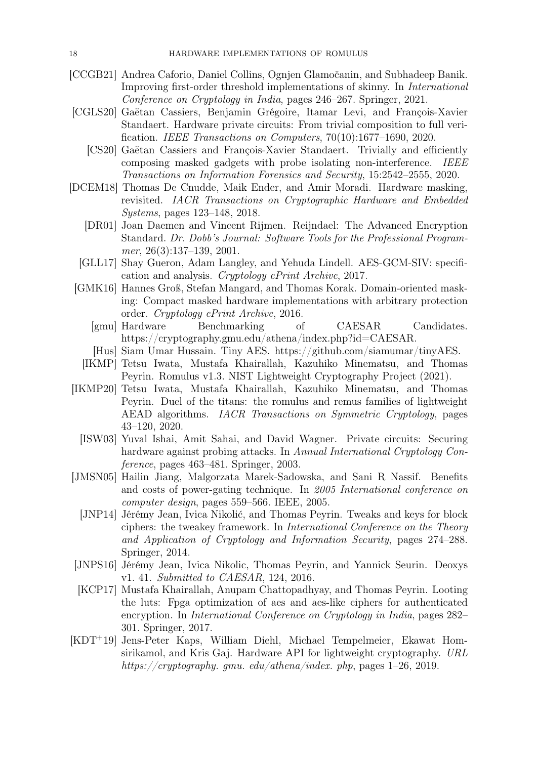- <span id="page-17-16"></span>[CCGB21] Andrea Caforio, Daniel Collins, Ognjen Glamočanin, and Subhadeep Banik. Improving first-order threshold implementations of skinny. In International Conference on Cryptology in India, pages 246–267. Springer, 2021.
- <span id="page-17-13"></span><span id="page-17-12"></span>[CGLS20] Gaëtan Cassiers, Benjamin Grégoire, Itamar Levi, and François-Xavier Standaert. Hardware private circuits: From trivial composition to full verification. IEEE Transactions on Computers, 70(10):1677–1690, 2020.
	- [CS20] Gaëtan Cassiers and François-Xavier Standaert. Trivially and efficiently composing masked gadgets with probe isolating non-interference. IEEE Transactions on Information Forensics and Security, 15:2542–2555, 2020.
- <span id="page-17-14"></span><span id="page-17-11"></span><span id="page-17-2"></span><span id="page-17-0"></span>[DCEM18] Thomas De Cnudde, Maik Ender, and Amir Moradi. Hardware masking, revisited. IACR Transactions on Cryptographic Hardware and Embedded Systems, pages 123–148, 2018.
	- [DR01] Joan Daemen and Vincent Rijmen. Reijndael: The Advanced Encryption Standard. Dr. Dobb's Journal: Software Tools for the Professional Programmer, 26(3):137–139, 2001.
	- [GLL17] Shay Gueron, Adam Langley, and Yehuda Lindell. AES-GCM-SIV: specification and analysis. Cryptology ePrint Archive, 2017.
	- [GMK16] Hannes Groß, Stefan Mangard, and Thomas Korak. Domain-oriented masking: Compact masked hardware implementations with arbitrary protection order. Cryptology ePrint Archive, 2016.
		- [gmu] Hardware Benchmarking of CAESAR Candidates. https://cryptography.gmu.edu/athena/index.php?id=CAESAR.
		- [Hus] Siam Umar Hussain. Tiny AES. https://github.com/siamumar/tinyAES.
	- [IKMP] Tetsu Iwata, Mustafa Khairallah, Kazuhiko Minematsu, and Thomas Peyrin. Romulus v1.3. NIST Lightweight Cryptography Project (2021).
- <span id="page-17-9"></span><span id="page-17-7"></span><span id="page-17-4"></span><span id="page-17-3"></span>[IKMP20] Tetsu Iwata, Mustafa Khairallah, Kazuhiko Minematsu, and Thomas Peyrin. Duel of the titans: the romulus and remus families of lightweight AEAD algorithms. IACR Transactions on Symmetric Cryptology, pages 43–120, 2020.
	- [ISW03] Yuval Ishai, Amit Sahai, and David Wagner. Private circuits: Securing hardware against probing attacks. In Annual International Cryptology Conference, pages 463–481. Springer, 2003.
- <span id="page-17-15"></span><span id="page-17-10"></span><span id="page-17-5"></span>[JMSN05] Hailin Jiang, Malgorzata Marek-Sadowska, and Sani R Nassif. Benefits and costs of power-gating technique. In 2005 International conference on computer design, pages 559–566. IEEE, 2005.
	- [JNP14] Jérémy Jean, Ivica Nikolić, and Thomas Peyrin. Tweaks and keys for block ciphers: the tweakey framework. In International Conference on the Theory and Application of Cryptology and Information Security, pages 274–288. Springer, 2014.
- <span id="page-17-1"></span>[JNPS16] Jérémy Jean, Ivica Nikolic, Thomas Peyrin, and Yannick Seurin. Deoxys v1. 41. Submitted to CAESAR, 124, 2016.
- <span id="page-17-6"></span>[KCP17] Mustafa Khairallah, Anupam Chattopadhyay, and Thomas Peyrin. Looting the luts: Fpga optimization of aes and aes-like ciphers for authenticated encryption. In International Conference on Cryptology in India, pages 282– 301. Springer, 2017.
- <span id="page-17-8"></span>[KDT<sup>+</sup>19] Jens-Peter Kaps, William Diehl, Michael Tempelmeier, Ekawat Homsirikamol, and Kris Gaj. Hardware API for lightweight cryptography. URL https://cryptography.gmu.edu/athena/index.php, pages 1–26, 2019.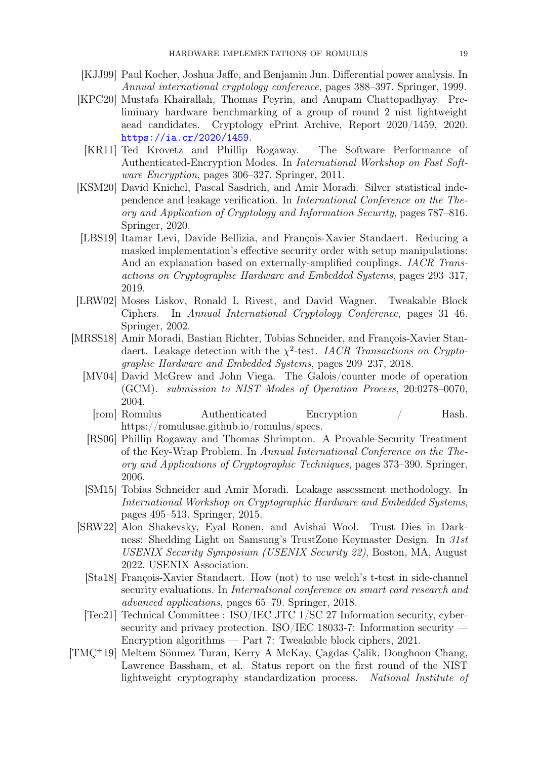- <span id="page-18-9"></span>[KJJ99] Paul Kocher, Joshua Jaffe, and Benjamin Jun. Differential power analysis. In Annual international cryptology conference, pages 388–397. Springer, 1999.
- <span id="page-18-8"></span>[KPC20] Mustafa Khairallah, Thomas Peyrin, and Anupam Chattopadhyay. Preliminary hardware benchmarking of a group of round 2 nist lightweight aead candidates. Cryptology ePrint Archive, Report 2020/1459, 2020. <https://ia.cr/2020/1459>.
	- [KR11] Ted Krovetz and Phillip Rogaway. The Software Performance of Authenticated-Encryption Modes. In International Workshop on Fast Software Encryption, pages 306–327. Springer, 2011.
- <span id="page-18-10"></span><span id="page-18-7"></span>[KSM20] David Knichel, Pascal Sasdrich, and Amir Moradi. Silver–statistical independence and leakage verification. In International Conference on the Theory and Application of Cryptology and Information Security, pages 787–816. Springer, 2020.
- <span id="page-18-13"></span>[LBS19] Itamar Levi, Davide Bellizia, and François-Xavier Standaert. Reducing a masked implementation's effective security order with setup manipulations: And an explanation based on externally-amplified couplings. *IACR Trans*actions on Cryptographic Hardware and Embedded Systems, pages 293–317, 2019.
- <span id="page-18-6"></span>[LRW02] Moses Liskov, Ronald L Rivest, and David Wagner. Tweakable Block Ciphers. In Annual International Cryptology Conference, pages 31–46. Springer, 2002.
- <span id="page-18-12"></span><span id="page-18-11"></span><span id="page-18-5"></span><span id="page-18-3"></span><span id="page-18-0"></span>[MRSS18] Amir Moradi, Bastian Richter, Tobias Schneider, and François-Xavier Standaert. Leakage detection with the  $\chi^2$ -test. IACR Transactions on Cryptographic Hardware and Embedded Systems, pages 209–237, 2018.
	- [MV04] David McGrew and John Viega. The Galois/counter mode of operation (GCM). submission to NIST Modes of Operation Process, 20:0278–0070, 2004.
		- [rom] Romulus Authenticated Encryption / Hash. https://romulusae.github.io/romulus/specs.
	- [RS06] Phillip Rogaway and Thomas Shrimpton. A Provable-Security Treatment of the Key-Wrap Problem. In Annual International Conference on the Theory and Applications of Cryptographic Techniques, pages 373–390. Springer, 2006.
	- [SM15] Tobias Schneider and Amir Moradi. Leakage assessment methodology. In International Workshop on Cryptographic Hardware and Embedded Systems, pages 495–513. Springer, 2015.
	- [SRW22] Alon Shakevsky, Eyal Ronen, and Avishai Wool. Trust Dies in Darkness: Shedding Light on Samsung's TrustZone Keymaster Design. In 31st USENIX Security Symposium (USENIX Security 22), Boston, MA, August 2022. USENIX Association.
		- [Sta18] François-Xavier Standaert. How (not) to use welch's t-test in side-channel security evaluations. In International conference on smart card research and advanced applications, pages 65–79. Springer, 2018.
	- [Tec21] Technical Committee : ISO/IEC JTC 1/SC 27 Information security, cybersecurity and privacy protection. ISO/IEC 18033-7: Information security — Encryption algorithms — Part 7: Tweakable block ciphers, 2021.
- <span id="page-18-14"></span><span id="page-18-4"></span><span id="page-18-2"></span><span id="page-18-1"></span>[TMÇ<sup>+</sup>19] Meltem Sönmez Turan, Kerry A McKay, Çagdas Çalik, Donghoon Chang, Lawrence Bassham, et al. Status report on the first round of the NIST lightweight cryptography standardization process. National Institute of